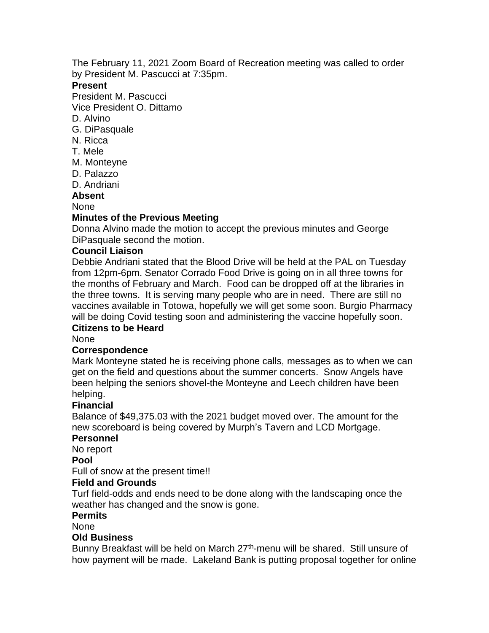The February 11, 2021 Zoom Board of Recreation meeting was called to order by President M. Pascucci at 7:35pm.

### **Present**

President M. Pascucci

Vice President O. Dittamo

- D. Alvino
- G. DiPasquale
- N. Ricca
- T. Mele
- M. Monteyne
- D. Palazzo

D. Andriani

**Absent**

#### None

### **Minutes of the Previous Meeting**

Donna Alvino made the motion to accept the previous minutes and George DiPasquale second the motion.

### **Council Liaison**

Debbie Andriani stated that the Blood Drive will be held at the PAL on Tuesday from 12pm-6pm. Senator Corrado Food Drive is going on in all three towns for the months of February and March. Food can be dropped off at the libraries in the three towns. It is serving many people who are in need. There are still no vaccines available in Totowa, hopefully we will get some soon. Burgio Pharmacy will be doing Covid testing soon and administering the vaccine hopefully soon.

# **Citizens to be Heard**

None

### **Correspondence**

Mark Monteyne stated he is receiving phone calls, messages as to when we can get on the field and questions about the summer concerts. Snow Angels have been helping the seniors shovel-the Monteyne and Leech children have been helping.

### **Financial**

Balance of \$49,375.03 with the 2021 budget moved over. The amount for the new scoreboard is being covered by Murph's Tavern and LCD Mortgage.

#### **Personnel**

No report

### **Pool**

Full of snow at the present time!!

### **Field and Grounds**

Turf field-odds and ends need to be done along with the landscaping once the weather has changed and the snow is gone.

### **Permits**

None

#### **Old Business**

Bunny Breakfast will be held on March 27<sup>th</sup>-menu will be shared. Still unsure of how payment will be made. Lakeland Bank is putting proposal together for online